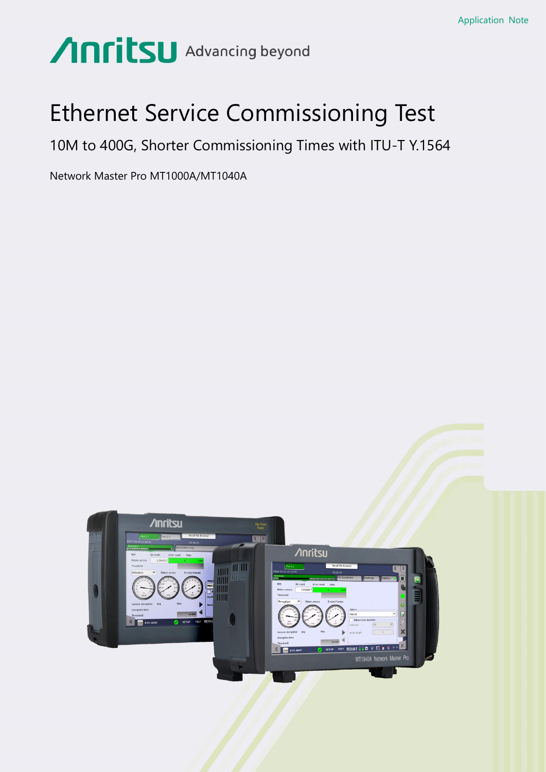# **Anritsu** Advancing beyond

## Ethernet Service Commissioning Test

10M to 400G, Shorter Commissioning Times with ITU-T Y.1564

Network Master Pro MT1000A/MT1040A

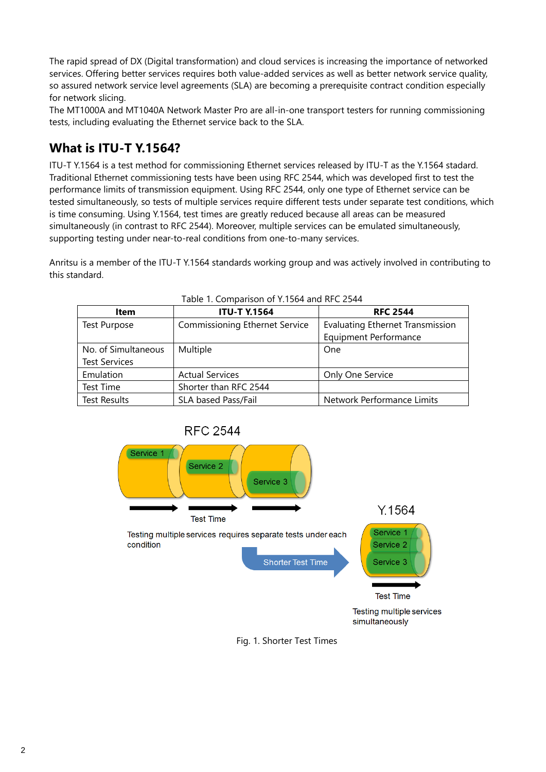The rapid spread of DX (Digital transformation) and cloud services is increasing the importance of networked services. Offering better services requires both value-added services as well as better network service quality, so assured network service level agreements (SLA) are becoming a prerequisite contract condition especially for network slicing.

The MT1000A and MT1040A Network Master Pro are all-in-one transport testers for running commissioning tests, including evaluating the Ethernet service back to the SLA.

## **What is ITU-T Y.1564?**

ITU-T Y.1564 is a test method for commissioning Ethernet services released by ITU-T as the Y.1564 stadard. Traditional Ethernet commissioning tests have been using RFC 2544, which was developed first to test the performance limits of transmission equipment. Using RFC 2544, only one type of Ethernet service can be tested simultaneously, so tests of multiple services require different tests under separate test conditions, which is time consuming. Using Y.1564, test times are greatly reduced because all areas can be measured simultaneously (in contrast to RFC 2544). Moreover, multiple services can be emulated simultaneously, supporting testing under near-to-real conditions from one-to-many services.

Anritsu is a member of the ITU-T Y.1564 standards working group and was actively involved in contributing to this standard.

| <b>Item</b>                                 | <b>ITU-T Y.1564</b>                   | <b>RFC 2544</b>                                                         |
|---------------------------------------------|---------------------------------------|-------------------------------------------------------------------------|
| <b>Test Purpose</b>                         | <b>Commissioning Ethernet Service</b> | <b>Evaluating Ethernet Transmission</b><br><b>Equipment Performance</b> |
| No. of Simultaneous<br><b>Test Services</b> | Multiple                              | One                                                                     |
| Emulation                                   | <b>Actual Services</b>                | Only One Service                                                        |
| Test Time                                   | Shorter than RFC 2544                 |                                                                         |
| <b>Test Results</b>                         | SLA based Pass/Fail                   | Network Performance Limits                                              |

| Table 1. Comparison of Y.1564 and RFC 2544 |  |  |
|--------------------------------------------|--|--|
|                                            |  |  |



Fig. 1. Shorter Test Times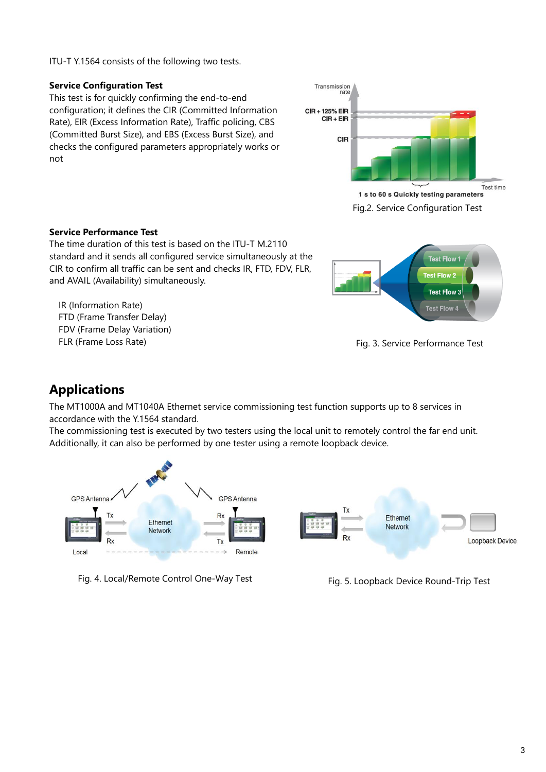ITU-T Y.1564 consists of the following two tests.

## **Service Configuration Test**

This test is for quickly confirming the end-to-end configuration; it defines the CIR (Committed Information Rate), EIR (Excess Information Rate), Traffic policing, CBS (Committed Burst Size), and EBS (Excess Burst Size), and checks the configured parameters appropriately works or not



Fig.2. Service Configuration Test

### **Service Performance Test**

The time duration of this test is based on the ITU-T M.2110 standard and it sends all configured service simultaneously at the CIR to confirm all traffic can be sent and checks IR, FTD, FDV, FLR, and AVAIL (Availability) simultaneously.

IR (Information Rate) FTD (Frame Transfer Delay) FDV (Frame Delay Variation) FLR (Frame Loss Rate)



Fig. 3. Service Performance Test

## **Applications**

The MT1000A and MT1040A Ethernet service commissioning test function supports up to 8 services in accordance with the Y.1564 standard.

The commissioning test is executed by two testers using the local unit to remotely control the far end unit. Additionally, it can also be performed by one tester using a remote loopback device.



Fig. 4. Local/Remote Control One-Way Test Fig. 5. Loopback Device Round-Trip Test

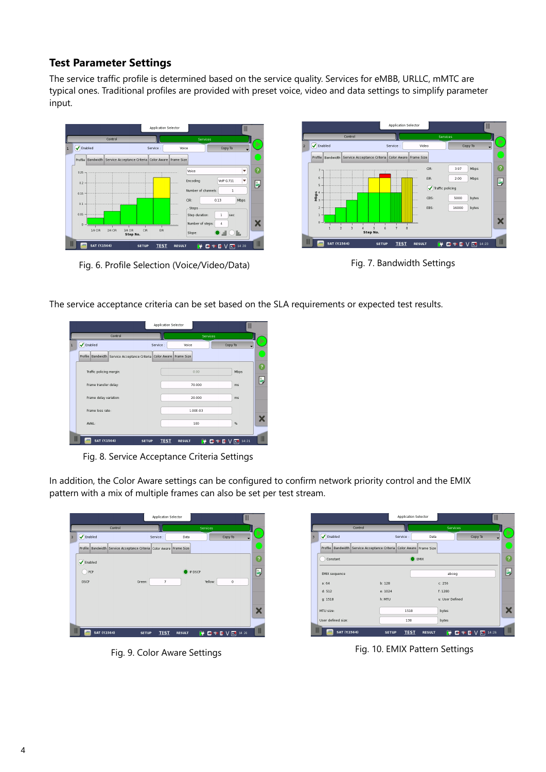## **Test Parameter Settings**

The service traffic profile is determined based on the service quality. Services for eMBB, URLLC, mMTC are typical ones. Traditional profiles are provided with preset voice, video and data settings to simplify parameter input.



Fig. 6. Profile Selection (Voice/Video/Data) Fig. 7. Bandwidth Settings



The service acceptance criteria can be set based on the SLA requirements or expected test results.

|              |                                                                      |              | Application Selector         |                 | Ш           |              |
|--------------|----------------------------------------------------------------------|--------------|------------------------------|-----------------|-------------|--------------|
|              | Control                                                              |              |                              | <b>Services</b> |             |              |
| $\mathbf{1}$ | Brabled                                                              | Service :    | Voice                        |                 | Copy To     |              |
|              | Profile Bandwidth Service Acceptance Criteria Color Aware Frame Size |              |                              |                 |             |              |
|              | Traffic policing margin:                                             |              |                              | 0.00            | Mbps        | ?            |
|              | Frame transfer delay:                                                |              |                              | 70.000          | ms          | Ě,           |
|              | Frame delay variation:                                               |              |                              | 20.000          | ms          |              |
|              | Frame loss rate:                                                     |              |                              | 1.00E-03        |             |              |
|              | AVAIL:                                                               |              |                              | 100             | %           | Х            |
| Ш            | and a<br><b>SAT (Y.1564)</b>                                         | <b>SETUP</b> | <b>TEST</b><br><b>RESULT</b> | ш.<br>lж        | 14:21<br>Iж | $\mathbb{I}$ |

Fig. 8. Service Acceptance Criteria Settings

In addition, the Color Aware settings can be configured to confirm network priority control and the EMIX pattern with a mix of multiple frames can also be set per test stream.



|                      | Control                                                              |           | Services        |         |  |
|----------------------|----------------------------------------------------------------------|-----------|-----------------|---------|--|
| Simabled             |                                                                      | Service : | Data            | Copy To |  |
|                      | Profile Bandwidth Service Acceptance Criteria Color Aware Frame Size |           |                 |         |  |
| Constant             |                                                                      | EMIX      |                 |         |  |
| <b>EMIX</b> sequence |                                                                      |           | abceg           |         |  |
| a: 64                | b:128                                                                |           | c: 256          |         |  |
| d: 512               | e: 1024                                                              |           | f: 1280         |         |  |
| q: 1518              | h: MTU                                                               |           | u: User Defined |         |  |
| MTU size:            |                                                                      | 1518      | bytes           |         |  |
| User defined size:   |                                                                      | 138       | bytes           |         |  |

Fig. 9. Color Aware Settings Fig. 10. EMIX Pattern Settings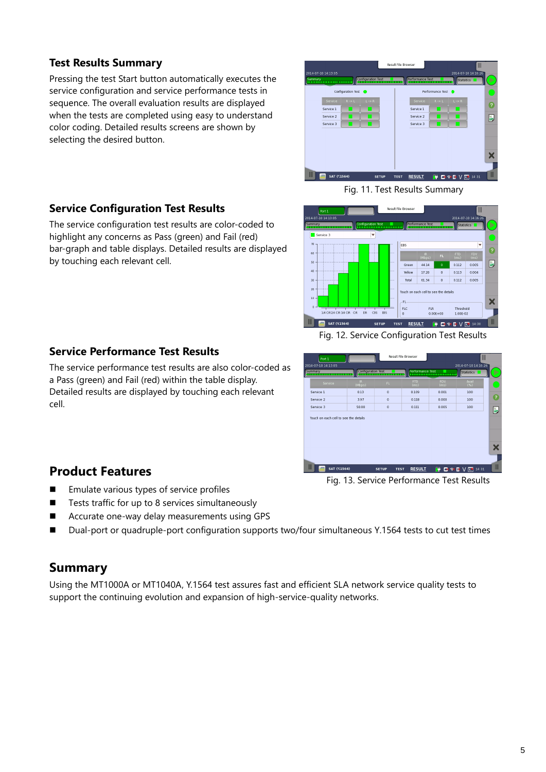## **Test Results Summary**

Pressing the test Start button automatically executes the service configuration and service performance tests in sequence. The overall evaluation results are displayed when the tests are completed using easy to understand color coding. Detailed results screens are shown by selecting the desired button.



**Service Configuration Test Results**

The service configuration test results are color-coded to highlight any concerns as Pass (green) and Fail (red) bar-graph and table displays. Detailed results are displayed by touching each relevant cell.

## **Service Performance Test Results**

The service performance test results are also color-coded as a Pass (green) and Fail (red) within the table display. Detailed results are displayed by touching each relevant cell.

## **Product Features**

- Emulate various types of service profiles
- Tests traffic for up to 8 services simultaneously
- Accurate one-way delay measurements using GPS
- Dual-port or quadruple-port configuration supports two/four simultaneous Y.1564 tests to cut test times

## **Summary**

Using the MT1000A or MT1040A, Y.1564 test assures fast and efficient SLA network service quality tests to support the continuing evolution and expansion of high-service-quality networks.



Fig. 12. Service Configuration Test Results



Fig. 13. Service Performance Test Results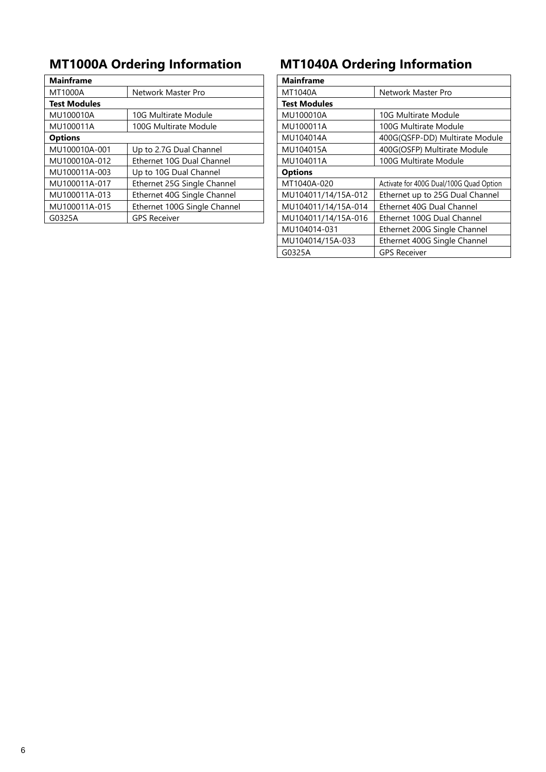| <b>Mainframe</b>              |                              | <b>Mainframe</b>    |                                    |
|-------------------------------|------------------------------|---------------------|------------------------------------|
| MT1000A<br>Network Master Pro |                              | MT1040A             | Network Master Pro                 |
| <b>Test Modules</b>           |                              | <b>Test Modules</b> |                                    |
| MU100010A                     | 10G Multirate Module         | MU100010A           | 10G Multirate Module               |
| MU100011A                     | 100G Multirate Module        | MU100011A           | 100G Multirate Module              |
| <b>Options</b>                |                              | MU104014A           | 400G(QSFP-DD) Multirate Mo         |
| MU100010A-001                 | Up to 2.7G Dual Channel      | MU104015A           | 400G(OSFP) Multirate Module        |
| MU100010A-012                 | Ethernet 10G Dual Channel    | MU104011A           | 100G Multirate Module              |
| MU100011A-003                 | Up to 10G Dual Channel       | <b>Options</b>      |                                    |
| MU100011A-017                 | Ethernet 25G Single Channel  | MT1040A-020         | Activate for 400G Dual/100G Quad O |
| MU100011A-013                 | Ethernet 40G Single Channel  | MU104011/14/15A-012 | Ethernet up to 25G Dual Chan       |
| MU100011A-015                 | Ethernet 100G Single Channel | MU104011/14/15A-014 | Ethernet 40G Dual Channel          |
| G0325A                        | <b>GPS Receiver</b>          | MU104011/14/15A-016 | Ethernet 100G Dual Channel         |
|                               |                              |                     |                                    |

## **MT1000A Ordering Information MT1040A Ordering Information**

|                              | <b>Mainframe</b>    |                                         |
|------------------------------|---------------------|-----------------------------------------|
| Network Master Pro           | MT1040A             | Network Master Pro                      |
|                              | <b>Test Modules</b> |                                         |
| 10G Multirate Module         | MU100010A           | 10G Multirate Module                    |
| 100G Multirate Module        | MU100011A           | 100G Multirate Module                   |
|                              | MU104014A           | 400G(QSFP-DD) Multirate Module          |
| Up to 2.7G Dual Channel      | MU104015A           | 400G(OSFP) Multirate Module             |
| Ethernet 10G Dual Channel    | MU104011A           | 100G Multirate Module                   |
| Up to 10G Dual Channel       | <b>Options</b>      |                                         |
| Ethernet 25G Single Channel  | MT1040A-020         | Activate for 400G Dual/100G Quad Option |
| Ethernet 40G Single Channel  | MU104011/14/15A-012 | Ethernet up to 25G Dual Channel         |
| Ethernet 100G Single Channel | MU104011/14/15A-014 | Ethernet 40G Dual Channel               |
| <b>GPS Receiver</b>          | MU104011/14/15A-016 | Ethernet 100G Dual Channel              |
|                              | MU104014-031        | Ethernet 200G Single Channel            |
|                              | MU104014/15A-033    | Ethernet 400G Single Channel            |
|                              | G0325A              | <b>GPS Receiver</b>                     |
|                              |                     |                                         |